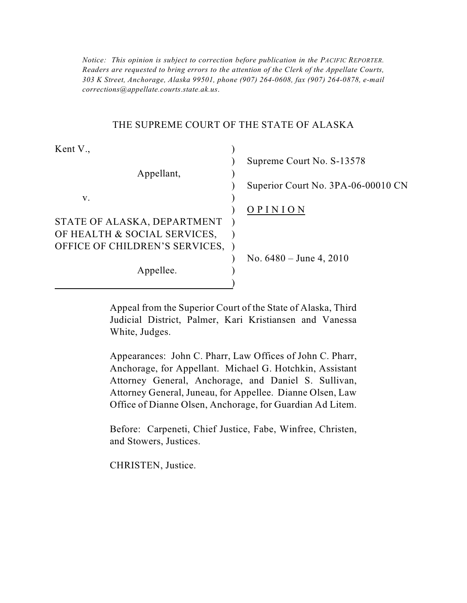*Notice: This opinion is subject to correction before publication in the PACIFIC REPORTER. Readers are requested to bring errors to the attention of the Clerk of the Appellate Courts, 303 K Street, Anchorage, Alaska 99501, phone (907) 264-0608, fax (907) 264-0878, e-mail corrections@appellate.courts.state.ak.us*.

#### THE SUPREME COURT OF THE STATE OF ALASKA

| Kent V.,                       |                                    |
|--------------------------------|------------------------------------|
|                                | Supreme Court No. S-13578          |
| Appellant,                     |                                    |
|                                | Superior Court No. 3PA-06-00010 CN |
| V.                             |                                    |
|                                | OPINION                            |
| STATE OF ALASKA, DEPARTMENT    |                                    |
| OF HEALTH & SOCIAL SERVICES,   |                                    |
| OFFICE OF CHILDREN'S SERVICES, |                                    |
|                                | No. $6480 -$ June 4, 2010          |
| Appellee.                      |                                    |
|                                |                                    |

Appeal from the Superior Court of the State of Alaska, Third Judicial District, Palmer, Kari Kristiansen and Vanessa White, Judges.

 Appearances: John C. Pharr, Law Offices of John C. Pharr, Attorney General, Juneau, for Appellee. Dianne Olsen, Law Anchorage, for Appellant. Michael G. Hotchkin, Assistant Attorney General, Anchorage, and Daniel S. Sullivan, Office of Dianne Olsen, Anchorage, for Guardian Ad Litem.

Before: Carpeneti, Chief Justice, Fabe, Winfree, Christen, and Stowers, Justices.

CHRISTEN, Justice.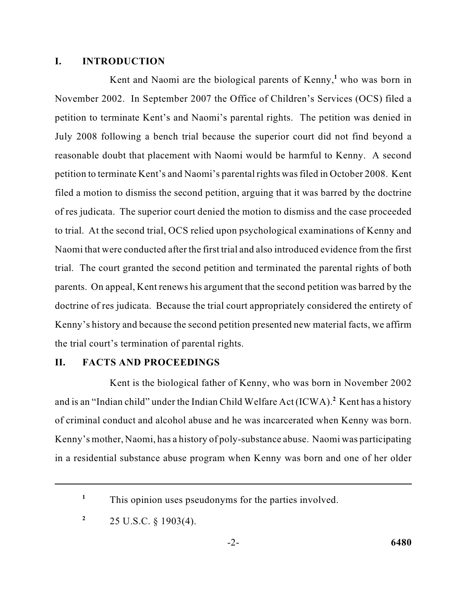#### **I. INTRODUCTION**

 Kent and Naomi are the biological parents of Kenny,**<sup>1</sup>**who was born in November 2002. In September 2007 the Office of Children's Services (OCS) filed a petition to terminate Kent's and Naomi's parental rights. The petition was denied in July 2008 following a bench trial because the superior court did not find beyond a to trial. At the second trial, OCS relied upon psychological examinations of Kenny and Naomi that were conducted after the first trial and also introduced evidence from the first doctrine of res judicata. Because the trial court appropriately considered the entirety of Kenny's history and because the second petition presented new material facts, we affirm reasonable doubt that placement with Naomi would be harmful to Kenny. A second petition to terminate Kent's and Naomi's parental rights was filed in October 2008. Kent filed a motion to dismiss the second petition, arguing that it was barred by the doctrine of res judicata. The superior court denied the motion to dismiss and the case proceeded trial. The court granted the second petition and terminated the parental rights of both parents. On appeal, Kent renews his argument that the second petition was barred by the the trial court's termination of parental rights.

### **II. FACTS AND PROCEEDINGS**

 Kent is the biological father of Kenny, who was born in November 2002 and is an "Indian child" under the Indian Child Welfare Act (ICWA).<sup>2</sup> Kent has a history of criminal conduct and alcohol abuse and he was incarcerated when Kenny was born. Kenny's mother, Naomi, has a history of poly-substance abuse. Naomi was participating in a residential substance abuse program when Kenny was born and one of her older

<sup>&</sup>lt;sup>1</sup> This opinion uses pseudonyms for the parties involved.

<sup>&</sup>lt;sup>2</sup> 25 U.S.C.  $\S$  1903(4).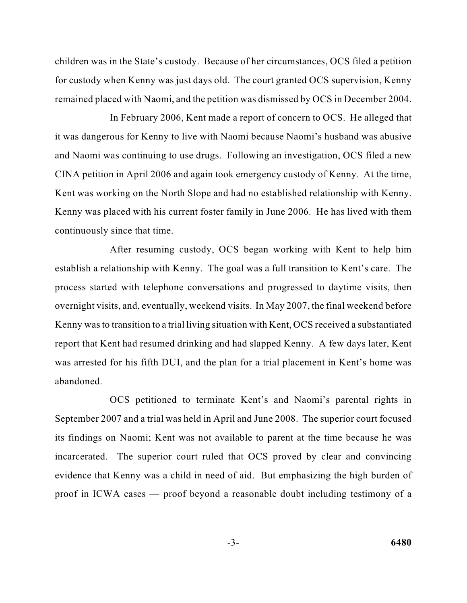for custody when Kenny was just days old. The court granted OCS supervision, Kenny remained placed with Naomi, and the petition was dismissed by OCS in December 2004. children was in the State's custody. Because of her circumstances, OCS filed a petition

 it was dangerous for Kenny to live with Naomi because Naomi's husband was abusive and Naomi was continuing to use drugs. Following an investigation, OCS filed a new In February 2006, Kent made a report of concern to OCS. He alleged that CINA petition in April 2006 and again took emergency custody of Kenny. At the time, Kent was working on the North Slope and had no established relationship with Kenny. Kenny was placed with his current foster family in June 2006. He has lived with them continuously since that time.

 establish a relationship with Kenny. The goal was a full transition to Kent's care. The overnight visits, and, eventually, weekend visits. In May 2007, the final weekend before Kenny was to transition to a trial living situation with Kent, OCS received a substantiated report that Kent had resumed drinking and had slapped Kenny. A few days later, Kent After resuming custody, OCS began working with Kent to help him process started with telephone conversations and progressed to daytime visits, then was arrested for his fifth DUI, and the plan for a trial placement in Kent's home was abandoned.

OCS petitioned to terminate Kent's and Naomi's parental rights in September 2007 and a trial was held in April and June 2008. The superior court focused its findings on Naomi; Kent was not available to parent at the time because he was incarcerated. The superior court ruled that OCS proved by clear and convincing evidence that Kenny was a child in need of aid. But emphasizing the high burden of proof in ICWA cases — proof beyond a reasonable doubt including testimony of a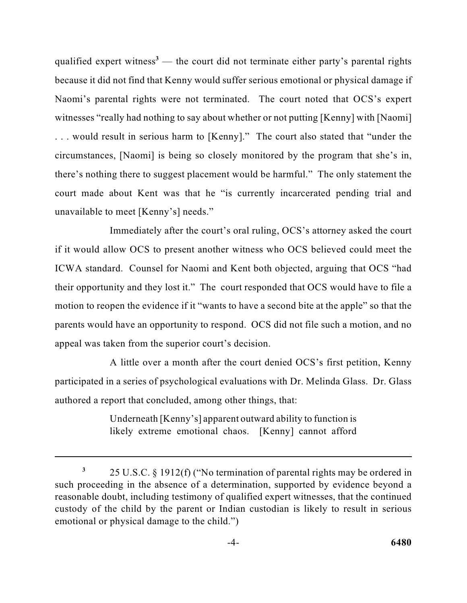because it did not find that Kenny would suffer serious emotional or physical damage if . . . would result in serious harm to [Kenny]." The court also stated that "under the there's nothing there to suggest placement would be harmful." The only statement the qualified expert witness<sup> $3$ </sup> — the court did not terminate either party's parental rights Naomi's parental rights were not terminated. The court noted that OCS's expert witnesses "really had nothing to say about whether or not putting [Kenny] with [Naomi] circumstances, [Naomi] is being so closely monitored by the program that she's in, court made about Kent was that he "is currently incarcerated pending trial and unavailable to meet [Kenny's] needs."

 their opportunity and they lost it." The court responded that OCS would have to file a motion to reopen the evidence if it "wants to have a second bite at the apple" so that the parents would have an opportunity to respond. OCS did not file such a motion, and no Immediately after the court's oral ruling, OCS's attorney asked the court if it would allow OCS to present another witness who OCS believed could meet the ICWA standard. Counsel for Naomi and Kent both objected, arguing that OCS "had appeal was taken from the superior court's decision.

 A little over a month after the court denied OCS's first petition, Kenny participated in a series of psychological evaluations with Dr. Melinda Glass. Dr. Glass authored a report that concluded, among other things, that:

> Underneath [Kenny's] apparent outward ability to function is likely extreme emotional chaos. [Kenny] cannot afford

 $\overline{\mathbf{3}}$  reasonable doubt, including testimony of qualified expert witnesses, that the continued **<sup>3</sup>**25 U.S.C. § 1912(f) ("No termination of parental rights may be ordered in such proceeding in the absence of a determination, supported by evidence beyond a custody of the child by the parent or Indian custodian is likely to result in serious emotional or physical damage to the child.")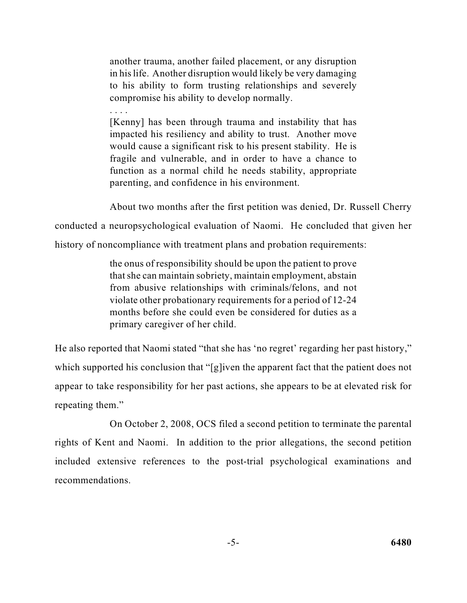another trauma, another failed placement, or any disruption in his life. Another disruption would likely be very damaging to his ability to form trusting relationships and severely compromise his ability to develop normally.

[Kenny] has been through trauma and instability that has impacted his resiliency and ability to trust. Another move would cause a significant risk to his present stability. He is fragile and vulnerable, and in order to have a chance to function as a normal child he needs stability, appropriate parenting, and confidence in his environment.

About two months after the first petition was denied, Dr. Russell Cherry conducted a neuropsychological evaluation of Naomi. He concluded that given her

history of noncompliance with treatment plans and probation requirements:

. . . .

 the onus of responsibility should be upon the patient to prove that she can maintain sobriety, maintain employment, abstain violate other probationary requirements for a period of 12-24 months before she could even be considered for duties as a from abusive relationships with criminals/felons, and not primary caregiver of her child.

 He also reported that Naomi stated "that she has 'no regret' regarding her past history," which supported his conclusion that "[g]iven the apparent fact that the patient does not appear to take responsibility for her past actions, she appears to be at elevated risk for repeating them."

 On October 2, 2008, OCS filed a second petition to terminate the parental rights of Kent and Naomi. In addition to the prior allegations, the second petition included extensive references to the post-trial psychological examinations and recommendations.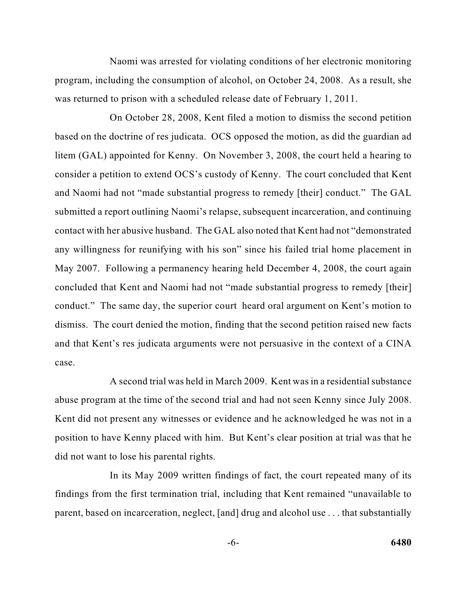program, including the consumption of alcohol, on October 24, 2008. As a result, she Naomi was arrested for violating conditions of her electronic monitoring was returned to prison with a scheduled release date of February 1, 2011.

 based on the doctrine of res judicata. OCS opposed the motion, as did the guardian ad litem (GAL) appointed for Kenny. On November 3, 2008, the court held a hearing to consider a petition to extend OCS's custody of Kenny. The court concluded that Kent contact with her abusive husband. The GAL also noted that Kent had not "demonstrated May 2007. Following a permanency hearing held December 4, 2008, the court again dismiss. The court denied the motion, finding that the second petition raised new facts On October 28, 2008, Kent filed a motion to dismiss the second petition and Naomi had not "made substantial progress to remedy [their] conduct." The GAL submitted a report outlining Naomi's relapse, subsequent incarceration, and continuing any willingness for reunifying with his son" since his failed trial home placement in concluded that Kent and Naomi had not "made substantial progress to remedy [their] conduct." The same day, the superior court heard oral argument on Kent's motion to and that Kent's res judicata arguments were not persuasive in the context of a CINA case.

 abuse program at the time of the second trial and had not seen Kenny since July 2008. A second trial was held in March 2009. Kent was in a residential substance Kent did not present any witnesses or evidence and he acknowledged he was not in a position to have Kenny placed with him. But Kent's clear position at trial was that he did not want to lose his parental rights.

 In its May 2009 written findings of fact, the court repeated many of its findings from the first termination trial, including that Kent remained "unavailable to parent, based on incarceration, neglect, [and] drug and alcohol use . . . that substantially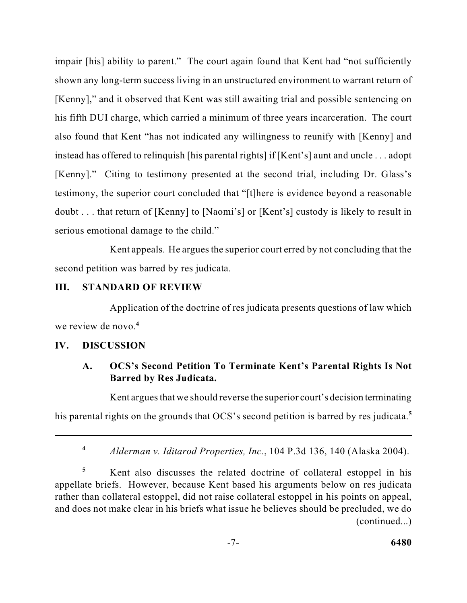[Kenny]," and it observed that Kent was still awaiting trial and possible sentencing on impair [his] ability to parent." The court again found that Kent had "not sufficiently shown any long-term success living in an unstructured environment to warrant return of his fifth DUI charge, which carried a minimum of three years incarceration. The court also found that Kent "has not indicated any willingness to reunify with [Kenny] and instead has offered to relinquish [his parental rights] if [Kent's] aunt and uncle . . . adopt [Kenny]." Citing to testimony presented at the second trial, including Dr. Glass's testimony, the superior court concluded that "[t]here is evidence beyond a reasonable doubt . . . that return of [Kenny] to [Naomi's] or [Kent's] custody is likely to result in serious emotional damage to the child."

 Kent appeals. He argues the superior court erred by not concluding that the second petition was barred by res judicata.

#### **III. STANDARD OF REVIEW**

Application of the doctrine of res judicata presents questions of law which we review de novo.**<sup>4</sup>**

#### **IV. DISCUSSION**

# **A. OCS's Second Petition To Terminate Kent's Parental Rights Is Not Barred by Res Judicata.**

Kent argues that we should reverse the superior court's decision terminating

his parental rights on the grounds that OCS's second petition is barred by res judicata.**<sup>5</sup>**

**<sup>4</sup>***Alderman v. Iditarod Properties, Inc.*, 104 P.3d 136, 140 (Alaska 2004).

<sup>5</sup> Kent also discusses the related doctrine of collateral estoppel in his and does not make clear in his briefs what issue he believes should be precluded, we do appellate briefs. However, because Kent based his arguments below on res judicata rather than collateral estoppel, did not raise collateral estoppel in his points on appeal, (continued...)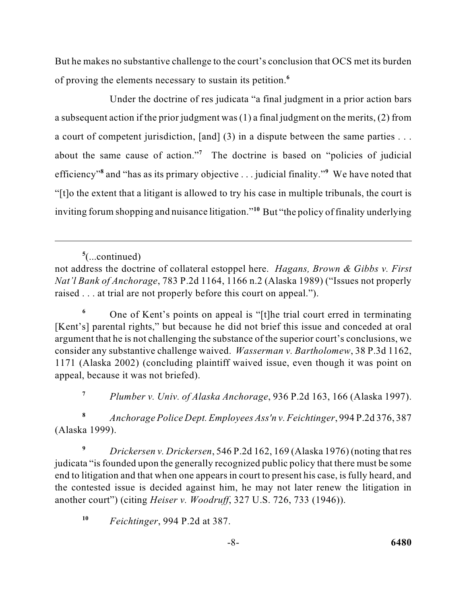But he makes no substantive challenge to the court's conclusion that OCS met its burden of proving the elements necessary to sustain its petition.**<sup>6</sup>**

 a subsequent action if the prior judgment was (1) a final judgment on the merits, (2) from efficiency"<sup>8</sup> and "has as its primary objective . . . judicial finality."<sup>9</sup> We have noted that "[t]o the extent that a litigant is allowed to try his case in multiple tribunals, the court is inviting forum shopping and nuisance litigation."**<sup>10</sup>**But "the policy of finality underlying Under the doctrine of res judicata "a final judgment in a prior action bars a court of competent jurisdiction, [and] (3) in a dispute between the same parties . . . about the same cause of action."<sup>7</sup> The doctrine is based on "policies of judicial

**5** (...continued)

 not address the doctrine of collateral estoppel here. *Hagans, Brown & Gibbs v. First Nat'l Bank of Anchorage*, 783 P.2d 1164, 1166 n.2 (Alaska 1989) ("Issues not properly raised . . . at trial are not properly before this court on appeal.").

<sup>6</sup> One of Kent's points on appeal is "[t]he trial court erred in terminating argument that he is not challenging the substance of the superior court's conclusions, we consider any substantive challenge waived. *Wasserman v. Bartholomew*, 38 P.3d 1162, [Kent's] parental rights," but because he did not brief this issue and conceded at oral 1171 (Alaska 2002) (concluding plaintiff waived issue, even though it was point on appeal, because it was not briefed).

 **<sup>7</sup>***Plumber v. Univ. of Alaska Anchorage*, 936 P.2d 163, 166 (Alaska 1997).

**<sup>8</sup>***Anchorage Police Dept. Employees Ass'n v. Feichtinger*, 994 P.2d 376, 387 (Alaska 1999).

 judicata "is founded upon the generally recognized public policy that there must be some end to litigation and that when one appears in court to present his case, is fully heard, and **<sup>9</sup>***Drickersen v. Drickersen*, 546 P.2d 162, 169 (Alaska 1976) (noting that res the contested issue is decided against him, he may not later renew the litigation in another court") (citing *Heiser v. Woodruff*, 327 U.S. 726, 733 (1946)).

**<sup>10</sup>***Feichtinger*, 994 P.2d at 387.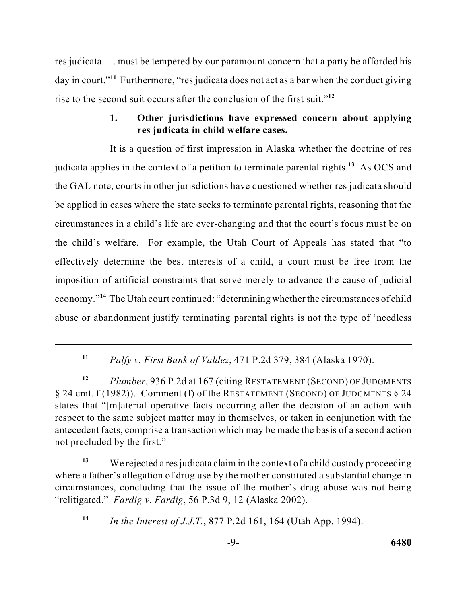res judicata . . . must be tempered by our paramount concern that a party be afforded his day in court."**<sup>11</sup>** Furthermore, "res judicata does not act as a bar when the conduct giving rise to the second suit occurs after the conclusion of the first suit."**<sup>12</sup>**

### **1. Other jurisdictions have expressed concern about applying res judicata in child welfare cases.**

 be applied in cases where the state seeks to terminate parental rights, reasoning that the It is a question of first impression in Alaska whether the doctrine of res judicata applies in the context of a petition to terminate parental rights.<sup>13</sup> As OCS and the GAL note, courts in other jurisdictions have questioned whether res judicata should circumstances in a child's life are ever-changing and that the court's focus must be on the child's welfare. For example, the Utah Court of Appeals has stated that "to effectively determine the best interests of a child, a court must be free from the imposition of artificial constraints that serve merely to advance the cause of judicial economy."**<sup>14</sup>** The Utah court continued: "determining whether the circumstances of child abuse or abandonment justify terminating parental rights is not the type of 'needless

 $\S 24$  cmt. f (1982)). Comment (f) of the RESTATEMENT (SECOND) OF JUDGMENTS  $\S 24$ **<sup>12</sup>***Plumber*, 936 P.2d at 167 (citing RESTATEMENT (SECOND) OF JUDGMENTS states that "[m]aterial operative facts occurring after the decision of an action with respect to the same subject matter may in themselves, or taken in conjunction with the antecedent facts, comprise a transaction which may be made the basis of a second action not precluded by the first."

<sup>13</sup> We rejected a res judicata claim in the context of a child custody proceeding where a father's allegation of drug use by the mother constituted a substantial change in circumstances, concluding that the issue of the mother's drug abuse was not being "relitigated." *Fardig v. Fardig*, 56 P.3d 9, 12 (Alaska 2002).

**<sup>14</sup>***In the Interest of J.J.T.*, 877 P.2d 161, 164 (Utah App. 1994).

**<sup>11</sup>***Palfy v. First Bank of Valdez*, 471 P.2d 379, 384 (Alaska 1970).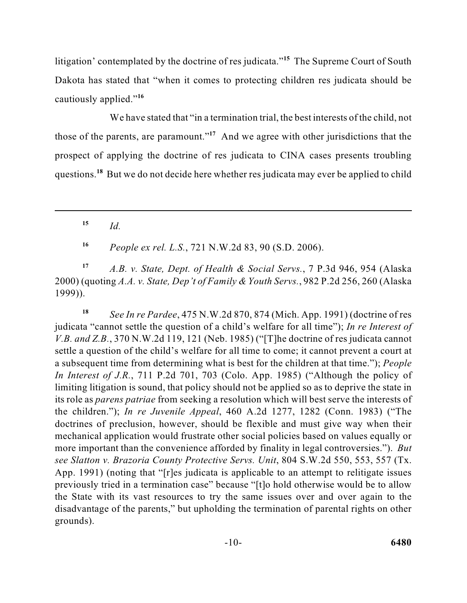litigation' contemplated by the doctrine of res judicata."<sup>15</sup> The Supreme Court of South Dakota has stated that "when it comes to protecting children res judicata should be cautiously applied."**<sup>16</sup>**

We have stated that "in a termination trial, the best interests of the child, not those of the parents, are paramount."**<sup>17</sup>**And we agree with other jurisdictions that the prospect of applying the doctrine of res judicata to CINA cases presents troubling questions.**<sup>18</sup>** But we do not decide here whether res judicata may ever be applied to child

**<sup>15</sup>***Id.* 

**<sup>16</sup>***People ex rel. L.S.*, 721 N.W.2d 83, 90 (S.D. 2006).

 **<sup>17</sup>***A.B. v. State, Dept. of Health & Social Servs.*, 7 P.3d 946, 954 (Alaska  2000) (quoting *A.A. v. State, Dep't of Family & Youth Servs.*, 982 P.2d 256, 260 (Alaska 1999)).

 **<sup>18</sup>***See In re Pardee*, 475 N.W.2d 870, 874 (Mich. App. 1991) (doctrine of res *In Interest of J.R.*, 711 P.2d 701, 703 (Colo. App. 1985) ("Although the policy of its role as *parens patriae* from seeking a resolution which will best serve the interests of the children."); *In re Juvenile Appeal*, 460 A.2d 1277, 1282 (Conn. 1983) ("The doctrines of preclusion, however, should be flexible and must give way when their mechanical application would frustrate other social policies based on values equally or more important than the convenience afforded by finality in legal controversies."). *But*  previously tried in a termination case" because "[t]o hold otherwise would be to allow disadvantage of the parents," but upholding the termination of parental rights on other judicata "cannot settle the question of a child's welfare for all time"); *In re Interest of V.B. and Z.B.*, 370 N.W.2d 119, 121 (Neb. 1985) ("[T]he doctrine of res judicata cannot settle a question of the child's welfare for all time to come; it cannot prevent a court at a subsequent time from determining what is best for the children at that time."); *People*  limiting litigation is sound, that policy should not be applied so as to deprive the state in *see Slatton v. Brazoria County Protective Servs. Unit*, 804 S.W.2d 550, 553, 557 (Tx. App. 1991) (noting that "[r]es judicata is applicable to an attempt to relitigate issues the State with its vast resources to try the same issues over and over again to the grounds).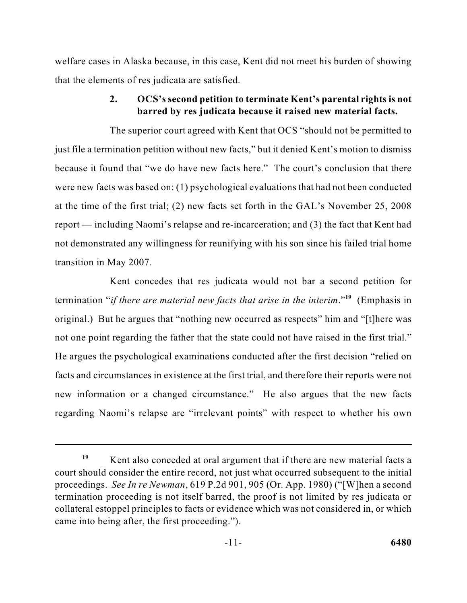welfare cases in Alaska because, in this case, Kent did not meet his burden of showing that the elements of res judicata are satisfied.

# **2. OCS's second petition to terminate Kent's parental rights is not barred by res judicata because it raised new material facts.**

 The superior court agreed with Kent that OCS "should not be permitted to just file a termination petition without new facts," but it denied Kent's motion to dismiss were new facts was based on: (1) psychological evaluations that had not been conducted at the time of the first trial; (2) new facts set forth in the GAL's November 25, 2008 not demonstrated any willingness for reunifying with his son since his failed trial home because it found that "we do have new facts here." The court's conclusion that there report — including Naomi's relapse and re-incarceration; and (3) the fact that Kent had transition in May 2007.

 He argues the psychological examinations conducted after the first decision "relied on Kent concedes that res judicata would not bar a second petition for termination "*if there are material new facts that arise in the interim*."**<sup>19</sup>**(Emphasis in original.) But he argues that "nothing new occurred as respects" him and "[t]here was not one point regarding the father that the state could not have raised in the first trial." facts and circumstances in existence at the first trial, and therefore their reports were not new information or a changed circumstance." He also argues that the new facts regarding Naomi's relapse are "irrelevant points" with respect to whether his own

<sup>&</sup>lt;sup>19</sup> Kent also conceded at oral argument that if there are new material facts a proceedings. *See In re Newman*, 619 P.2d 901, 905 (Or. App. 1980) ("[W]hen a second court should consider the entire record, not just what occurred subsequent to the initial termination proceeding is not itself barred, the proof is not limited by res judicata or collateral estoppel principles to facts or evidence which was not considered in, or which came into being after, the first proceeding.").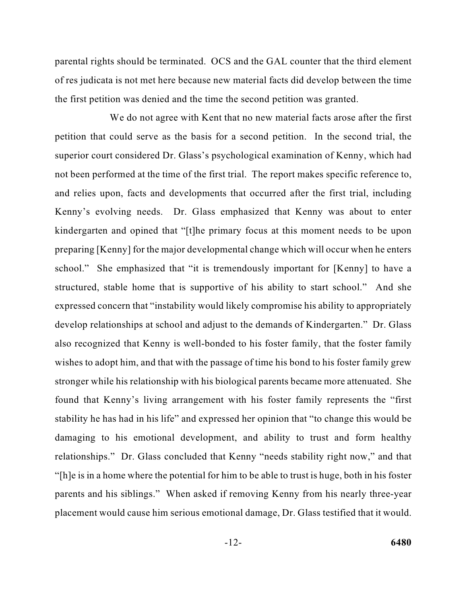parental rights should be terminated. OCS and the GAL counter that the third element of res judicata is not met here because new material facts did develop between the time the first petition was denied and the time the second petition was granted.

 We do not agree with Kent that no new material facts arose after the first not been performed at the time of the first trial. The report makes specific reference to, develop relationships at school and adjust to the demands of Kindergarten." Dr. Glass stronger while his relationship with his biological parents became more attenuated. She stability he has had in his life" and expressed her opinion that "to change this would be "[h]e is in a home where the potential for him to be able to trust is huge, both in his foster placement would cause him serious emotional damage, Dr. Glass testified that it would. petition that could serve as the basis for a second petition. In the second trial, the superior court considered Dr. Glass's psychological examination of Kenny, which had and relies upon, facts and developments that occurred after the first trial, including Kenny's evolving needs. Dr. Glass emphasized that Kenny was about to enter kindergarten and opined that "[t]he primary focus at this moment needs to be upon preparing [Kenny] for the major developmental change which will occur when he enters school." She emphasized that "it is tremendously important for [Kenny] to have a structured, stable home that is supportive of his ability to start school." And she expressed concern that "instability would likely compromise his ability to appropriately also recognized that Kenny is well-bonded to his foster family, that the foster family wishes to adopt him, and that with the passage of time his bond to his foster family grew found that Kenny's living arrangement with his foster family represents the "first damaging to his emotional development, and ability to trust and form healthy relationships." Dr. Glass concluded that Kenny "needs stability right now," and that parents and his siblings." When asked if removing Kenny from his nearly three-year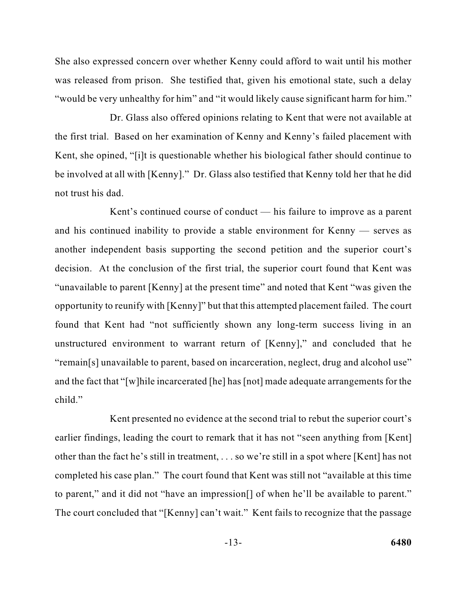She also expressed concern over whether Kenny could afford to wait until his mother was released from prison. She testified that, given his emotional state, such a delay "would be very unhealthy for him" and "it would likely cause significant harm for him."

Dr. Glass also offered opinions relating to Kent that were not available at the first trial. Based on her examination of Kenny and Kenny's failed placement with Kent, she opined, "[i]t is questionable whether his biological father should continue to be involved at all with [Kenny]." Dr. Glass also testified that Kenny told her that he did not trust his dad.

 "remain[s] unavailable to parent, based on incarceration, neglect, drug and alcohol use" and the fact that "[w]hile incarcerated [he] has [not] made adequate arrangements for the Kent's continued course of conduct — his failure to improve as a parent and his continued inability to provide a stable environment for Kenny — serves as another independent basis supporting the second petition and the superior court's decision. At the conclusion of the first trial, the superior court found that Kent was "unavailable to parent [Kenny] at the present time" and noted that Kent "was given the opportunity to reunify with [Kenny]" but that this attempted placement failed. The court found that Kent had "not sufficiently shown any long-term success living in an unstructured environment to warrant return of [Kenny]," and concluded that he child."

 Kent presented no evidence at the second trial to rebut the superior court's other than the fact he's still in treatment, . . . so we're still in a spot where [Kent] has not completed his case plan." The court found that Kent was still not "available at this time The court concluded that "[Kenny] can't wait." Kent fails to recognize that the passage earlier findings, leading the court to remark that it has not "seen anything from [Kent] to parent," and it did not "have an impression[] of when he'll be available to parent."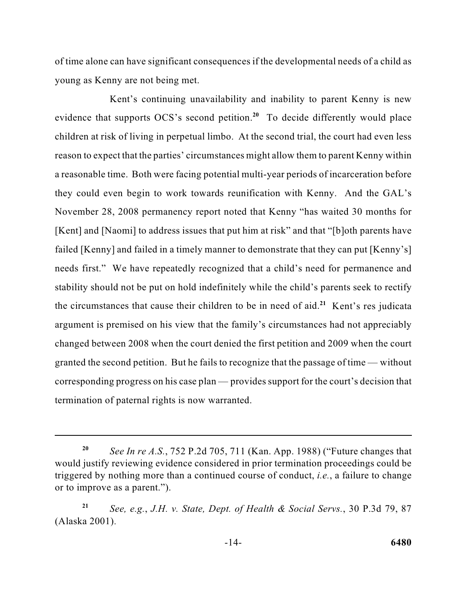of time alone can have significant consequences if the developmental needs of a child as young as Kenny are not being met.

 children at risk of living in perpetual limbo. At the second trial, the court had even less a reasonable time. Both were facing potential multi-year periods of incarceration before failed [Kenny] and failed in a timely manner to demonstrate that they can put [Kenny's] stability should not be put on hold indefinitely while the child's parents seek to rectify the circumstances that cause their children to be in need of aid.<sup>21</sup> Kent's res judicata changed between 2008 when the court denied the first petition and 2009 when the court granted the second petition. But he fails to recognize that the passage of time — without Kent's continuing unavailability and inability to parent Kenny is new evidence that supports  $OCS$ 's second petition.<sup>20</sup> To decide differently would place reason to expect that the parties' circumstances might allow them to parent Kenny within they could even begin to work towards reunification with Kenny. And the GAL's November 28, 2008 permanency report noted that Kenny "has waited 30 months for [Kent] and [Naomi] to address issues that put him at risk" and that "[b]oth parents have needs first." We have repeatedly recognized that a child's need for permanence and argument is premised on his view that the family's circumstances had not appreciably corresponding progress on his case plan — provides support for the court's decision that termination of paternal rights is now warranted.

**<sup>20</sup>***See In re A.S.*, 752 P.2d 705, 711 (Kan. App. 1988) ("Future changes that would justify reviewing evidence considered in prior termination proceedings could be triggered by nothing more than a continued course of conduct, *i.e.*, a failure to change or to improve as a parent.").

**<sup>21</sup>***See, e.g.*, *J.H. v. State, Dept. of Health & Social Servs.*, 30 P.3d 79, 87 (Alaska 2001).